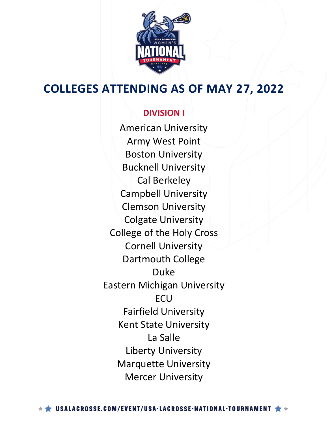

### **DIVISION I**

American University Army West Point Boston University Bucknell University Cal Berkeley Campbell University Clemson University Colgate University College of the Holy Cross Cornell University Dartmouth College Duke Eastern Michigan University **FCU** Fairfield University Kent State University La Salle Liberty University Marquette University Mercer University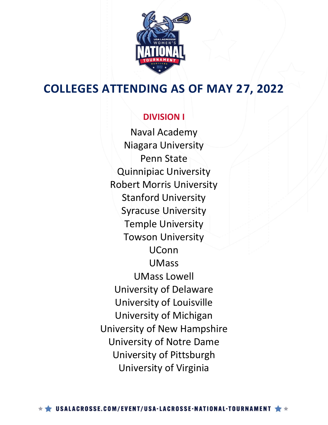

### **DIVISION I**

Naval Academy Niagara University Penn State Quinnipiac University Robert Morris University Stanford University Syracuse University Temple University Towson University UConn UMass UMass Lowell University of Delaware University of Louisville University of Michigan University of New Hampshire University of Notre Dame University of Pittsburgh University of Virginia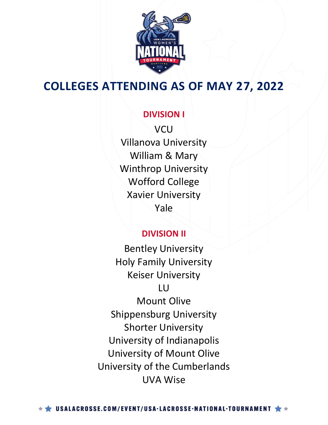

### **DIVISION I**

**VCU** Villanova University William & Mary Winthrop University Wofford College Xavier University Yale

### **DIVISION II**

Bentley University Holy Family University Keiser University

### LU

Mount Olive Shippensburg University Shorter University University of Indianapolis University of Mount Olive University of the Cumberlands UVA Wise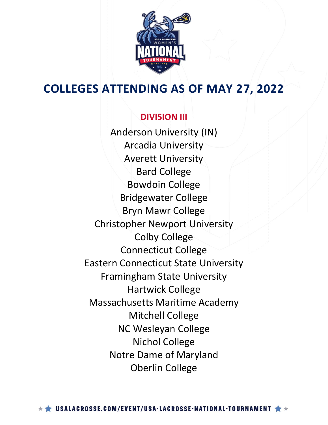

### **DIVISION III**

Anderson University (IN) Arcadia University Averett University Bard College Bowdoin College Bridgewater College Bryn Mawr College Christopher Newport University Colby College Connecticut College Eastern Connecticut State University Framingham State University Hartwick College Massachusetts Maritime Academy Mitchell College NC Wesleyan College Nichol College Notre Dame of Maryland Oberlin College